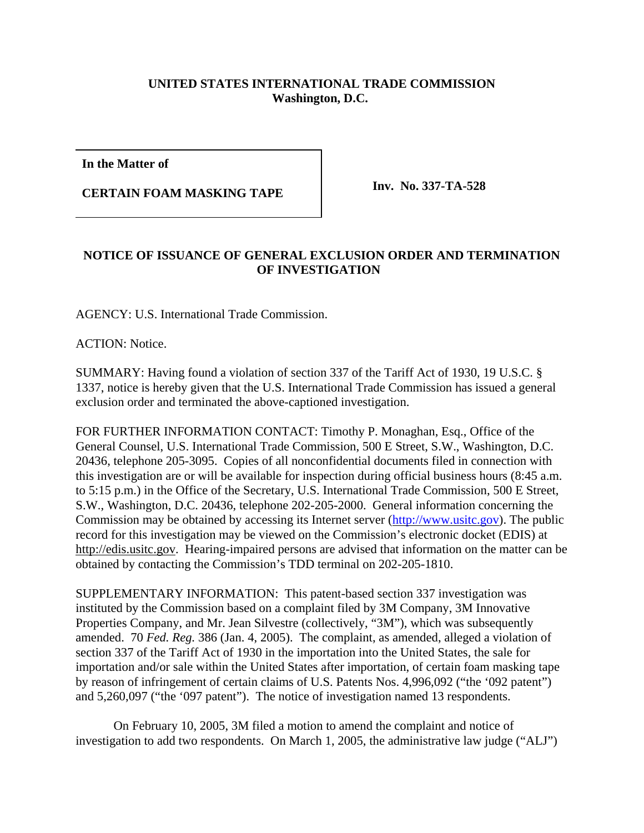## **UNITED STATES INTERNATIONAL TRADE COMMISSION Washington, D.C.**

**In the Matter of**

**CERTAIN FOAM MASKING TAPE Inv. No. 337-TA-528**

## **NOTICE OF ISSUANCE OF GENERAL EXCLUSION ORDER AND TERMINATION OF INVESTIGATION**

AGENCY: U.S. International Trade Commission.

ACTION: Notice.

SUMMARY: Having found a violation of section 337 of the Tariff Act of 1930, 19 U.S.C. § 1337, notice is hereby given that the U.S. International Trade Commission has issued a general exclusion order and terminated the above-captioned investigation.

FOR FURTHER INFORMATION CONTACT: Timothy P. Monaghan, Esq., Office of the General Counsel, U.S. International Trade Commission, 500 E Street, S.W., Washington, D.C. 20436, telephone 205-3095. Copies of all nonconfidential documents filed in connection with this investigation are or will be available for inspection during official business hours (8:45 a.m. to 5:15 p.m.) in the Office of the Secretary, U.S. International Trade Commission, 500 E Street, S.W., Washington, D.C. 20436, telephone 202-205-2000. General information concerning the Commission may be obtained by accessing its Internet server (http://www.usitc.gov). The public record for this investigation may be viewed on the Commission's electronic docket (EDIS) at http://edis.usitc.gov. Hearing-impaired persons are advised that information on the matter can be obtained by contacting the Commission's TDD terminal on 202-205-1810.

SUPPLEMENTARY INFORMATION: This patent-based section 337 investigation was instituted by the Commission based on a complaint filed by 3M Company, 3M Innovative Properties Company, and Mr. Jean Silvestre (collectively, "3M"), which was subsequently amended. 70 *Fed. Reg.* 386 (Jan. 4, 2005). The complaint, as amended, alleged a violation of section 337 of the Tariff Act of 1930 in the importation into the United States, the sale for importation and/or sale within the United States after importation, of certain foam masking tape by reason of infringement of certain claims of U.S. Patents Nos. 4,996,092 ("the '092 patent") and 5,260,097 ("the '097 patent"). The notice of investigation named 13 respondents.

On February 10, 2005, 3M filed a motion to amend the complaint and notice of investigation to add two respondents. On March 1, 2005, the administrative law judge ("ALJ")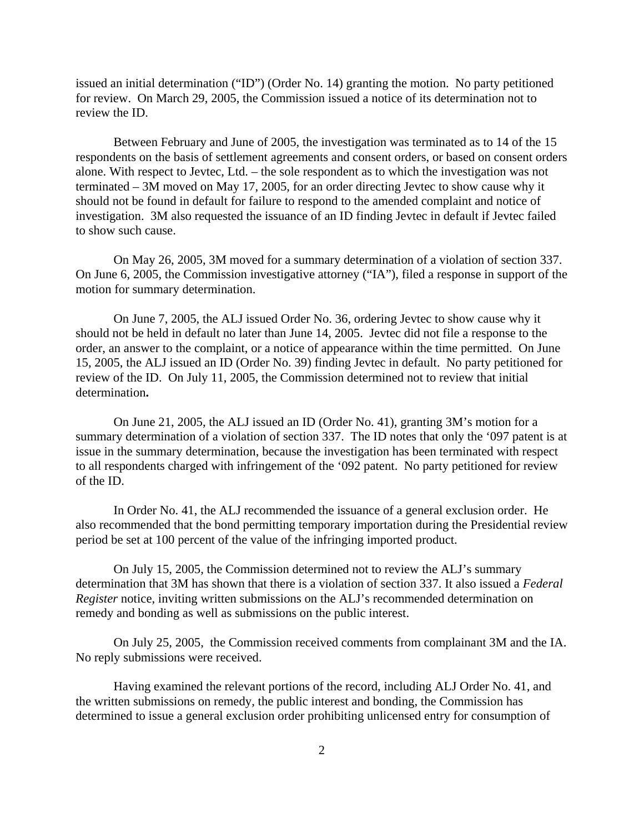issued an initial determination ("ID") (Order No. 14) granting the motion. No party petitioned for review. On March 29, 2005, the Commission issued a notice of its determination not to review the ID.

Between February and June of 2005, the investigation was terminated as to 14 of the 15 respondents on the basis of settlement agreements and consent orders, or based on consent orders alone. With respect to Jevtec, Ltd. – the sole respondent as to which the investigation was not terminated – 3M moved on May 17, 2005, for an order directing Jevtec to show cause why it should not be found in default for failure to respond to the amended complaint and notice of investigation. 3M also requested the issuance of an ID finding Jevtec in default if Jevtec failed to show such cause.

On May 26, 2005, 3M moved for a summary determination of a violation of section 337. On June 6, 2005, the Commission investigative attorney ("IA"), filed a response in support of the motion for summary determination.

On June 7, 2005, the ALJ issued Order No. 36, ordering Jevtec to show cause why it should not be held in default no later than June 14, 2005. Jevtec did not file a response to the order, an answer to the complaint, or a notice of appearance within the time permitted. On June 15, 2005, the ALJ issued an ID (Order No. 39) finding Jevtec in default. No party petitioned for review of the ID. On July 11, 2005, the Commission determined not to review that initial determination**.**

 On June 21, 2005, the ALJ issued an ID (Order No. 41), granting 3M's motion for a summary determination of a violation of section 337. The ID notes that only the '097 patent is at issue in the summary determination, because the investigation has been terminated with respect to all respondents charged with infringement of the '092 patent. No party petitioned for review of the ID.

In Order No. 41, the ALJ recommended the issuance of a general exclusion order. He also recommended that the bond permitting temporary importation during the Presidential review period be set at 100 percent of the value of the infringing imported product.

On July 15, 2005, the Commission determined not to review the ALJ's summary determination that 3M has shown that there is a violation of section 337. It also issued a *Federal Register* notice, inviting written submissions on the ALJ's recommended determination on remedy and bonding as well as submissions on the public interest.

On July 25, 2005, the Commission received comments from complainant 3M and the IA. No reply submissions were received.

Having examined the relevant portions of the record, including ALJ Order No. 41, and the written submissions on remedy, the public interest and bonding, the Commission has determined to issue a general exclusion order prohibiting unlicensed entry for consumption of